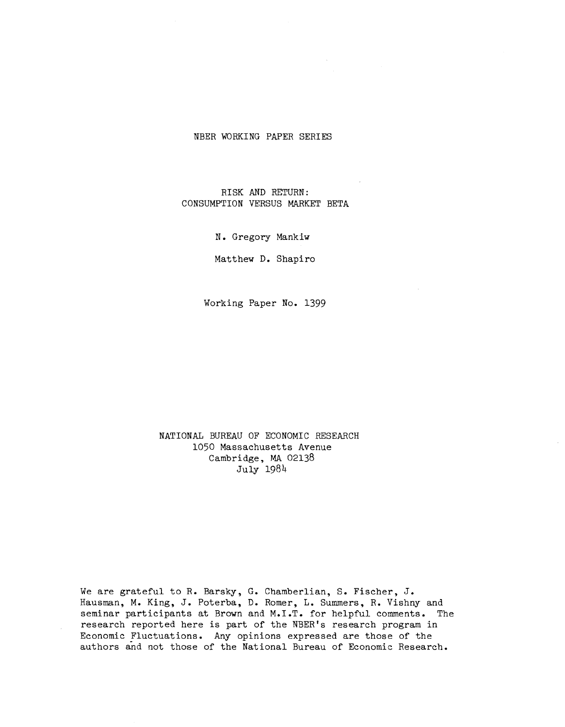#### NBER WORKING PAPER SERIES

RISK AND RETURN: CONSUMPTION VERSUS MARKET BETA

N. Gregory Mankiw

Matthew D. Shapiro

Working Paper No. 1399

NATIONAL BUREAU OF ECONOMIC RESEARCH 1050 Massachusetts Avenue Cambridge, MA 02138 July 198)4

We are grateful to R. Barsky, G. Chamberlian, S. Fischer, J. Hausman, M. King, J. Poterba, D. Romer, L. Summers, R. Vishny and seminar participants at Brown and M.I.T. for helpful comments. The research reported here is part of the NBER's research program in Economic Fluctuations. Any opinions expressed are those of the authors and not those of the National Bureau of Economic Research.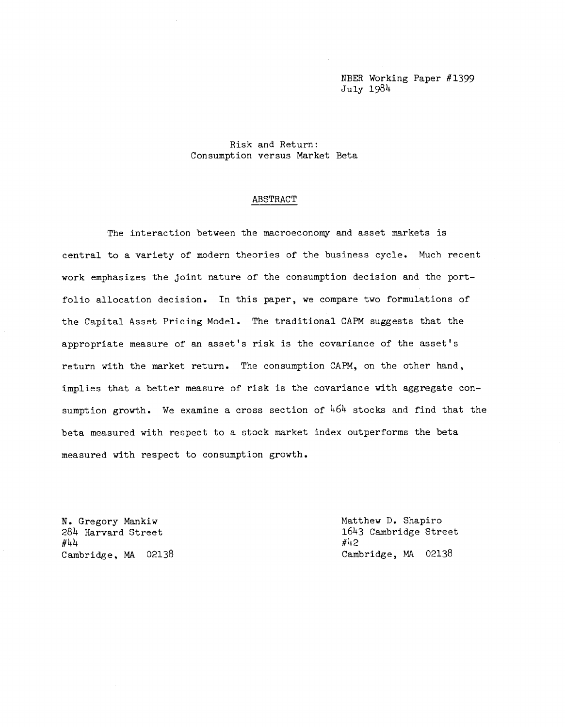NBER Working Paper #1399 Ju1r 198)4

Risk and Return: Consumption versus Market Beta

#### ABSTRACT

The interaction between the macroeconomy and asset markets is central to a variety of modern theories of the business cycle. Much recent work emphasizes the joint nature of the consumption decision and the portfolio allocation decision. In this paper, we compare two formulations of the Capital Asset Pricing Model. The traditional CAPM suggests that the appropriate measure of an asset's risk is the covariance of the asset's return with the market return. The consumption CAPM, on the other hand, implies that a better measure of risk is the covariance with aggregate consumption growth. We examine a cross section of  $464$  stocks and find that the beta measured with respect to a stock market index outperforms the beta measured with respect to consumption growth.

N. Gregory Mankiw Matthew D. Shapiro #)4)4 #)42

 $284$  Harvard Street 1643 Cambridge Street  $\#44$ <br> $\#42$ Cambridge, MA 02138 Cambridge, MA 02138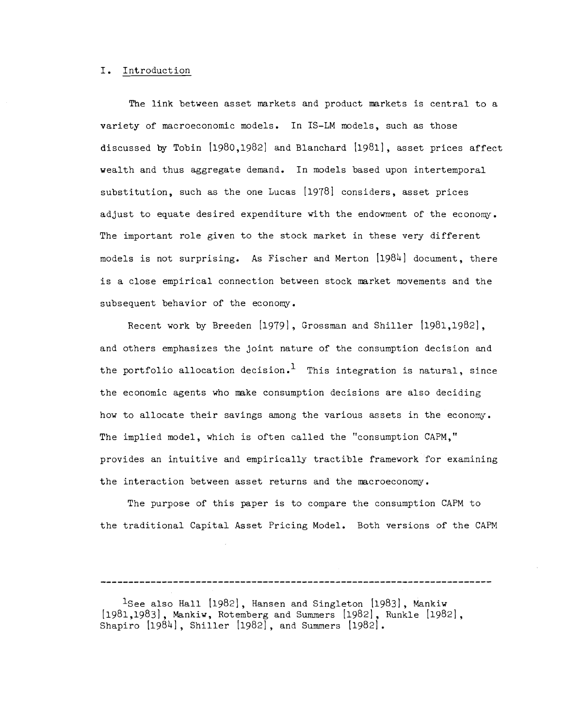#### I. Introduction

The link between asset markets and product markets is central to a variety of macroeconomic models. In IS—LM models, such as those discussed by Tobin [1980,1982] and Blanchard [1981], asset prices affect wealth and thus aggregate demand. In models based upon intertemporal substitution, such as the one Lucas [1978] considers, asset prices adjust to equate desired expenditure with the endowment of the economy. The important role given to the stock market in these very different models is not surprising. As Fischer and Merton  $[1984]$  document, there is a close empirical connection between stock market movements and the subsequent behavior of the economy.

Recent work by Breeden [1979], Grossman and Shiller [1981,1982], and others emphasizes the joint nature of the consumption decision and the portfolio allocation decision.<sup>1</sup> This integration is natural, since the economic agents who make consumption decisions are also deciding how to allocate their savings among the various assets in the economy. The implied model, which is often called the "consumption CAPM," provides an intuitive and empirically tractible framework for examining the interaction between asset returns and the macroeconomy.

The purpose of this paper is to compare the consumption CAPM to the traditional Capital Asset Pricing Model. Both versions of the CAPM

<sup>1</sup>See also Hall [1982], Hansen and Singleton [1983], Mankiw [1981,1983] , Mankiw, Rotemberg and Summers [1982], Runkle [1982] Shapiro  $[1984]$ , Shiller  $[1982]$ , and Summers  $[1982]$ .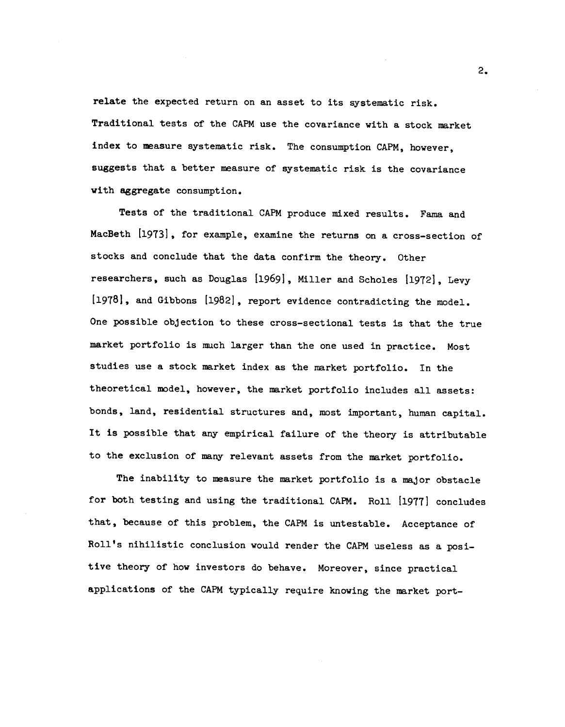relate the expected return on an asset to its systematic risk. Traditional tests of the CAPM use the covariance with a stock market index to measure systematic risk. The consumption CAPM, however, suggests that a better measure of systematic risk is the covariance with aggregate consumption.

Tests of the traditional CAPM produce mixed results. Fama and MacBeth [1973], for example, examine the returns on a cross-section of stocks and conclude that the data confirm the theory. Other researchers, such as Douglas [1969], Miller and Scholes [1972], Levy [1978], and Gibbons [1982], report evidence contradicting the model. One possible objection to these cross—sectional tests is that the true market portfolio is much larger than the one used in practice. Most studies use a stock market index as the market portfolio. In the theoretical model, however, the market portfolio includes all assets: bonds, land, residential structures and, most important, human capital. It is possible that any empirical failure of the theory is attributable to the exclusion of many relevant assets from the market portfolio.

The inability to measure the market portfolio is a major obstacle for both testing and using the traditional CAPM. Roll [1977] concludes that, because of this problem, the CAPM is untestable. Acceptance of Roll's nihilistic conclusion would render the CAPM useless as a positive theory of how investors do behave. Moreover, since practical applications of the CAPM typically require knowing the market port—

2.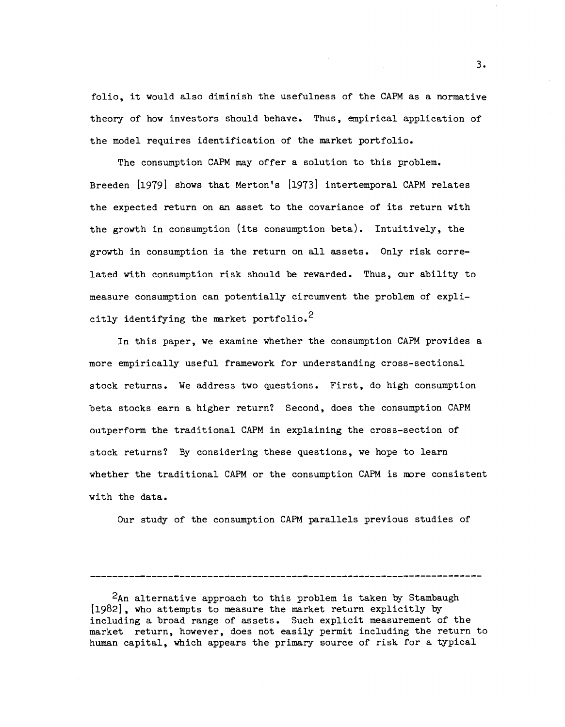folio, it would also diminish the usefulness of the CAPM as a normative theory of how investors should behave. Thus, empirical application of the model requires identification of the market portfolio.

The consumption CAPM may offer a solution to this problem. Breeden [1979] shows that Merton's [1973] intertemporal CAPM relates the expected return on an asset to the covariance of its return with the growth in consumption (its consumption beta). Intuitively, the growth in consumption is the return on all assets. Only risk correlated with consumption risk should be rewarded. Thus, our ability to measure consumption can potentially circumvent the problem of explicitly identifying the market portfolio.<sup>2</sup>

In this paper, we examine whether the consumption CAPM provides a more empirically useful framework for understanding cross-sectional stock returns. We address two questions. First, do high consumption beta stocks earn a higher return? Second, does the consumption CAPM outperform the traditional CAPM in explaining the cross—section of stock returns? By considering these questions, we hope to learn whether the traditional CAPM or the consumption CAPM is more consistent with the data.

Our study of the consumption CAPM parallels previous studies of

 $2$ An alternative approach to this problem is taken by Stambaugh  $[1982]$ , who attempts to measure the market return explicitly by including a broad range of assets. Such explicit measurement of the market return, however, does not easily permit including the return to human capital, which appears the primary source of risk for a typical

3.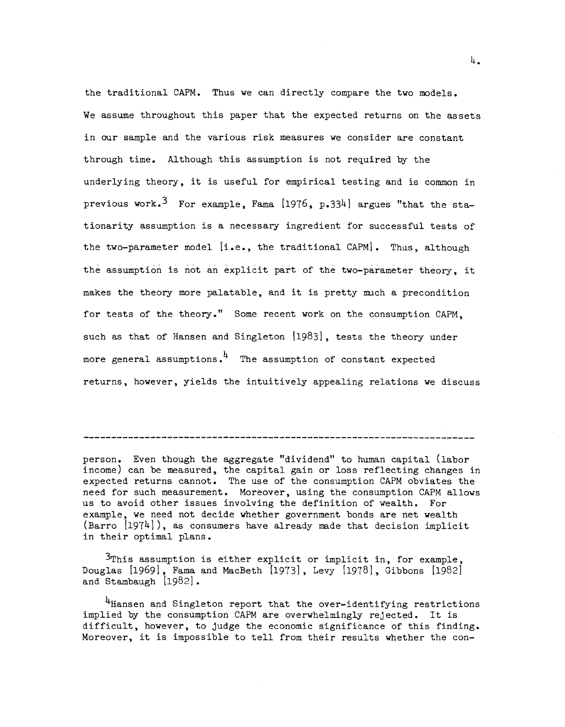the traditional CAPM. Thus we can directly compare the two models. We assume throughout this paper that the expected returns on the assets in our sample and the various risk measures we consider are constant through time. Although this assumption is not required by the underlying theory, it is useful for empirical testing and is common in previous work.<sup>3</sup> For example, Fama [1976, p.334] argues "that the stationarity assumption is a necessary ingredient for successful tests of the two-parameter model [i.e., the traditional CAPM]. Thus, although the assumption is not an explicit part of the two—parameter theory, it makes the theory more palatable, and it is pretty much a precondition for tests of the theory." Some recent work on the consumption CAPM, such as that of Hansen and Singleton [1983], tests the theory under more general assumptions.  $4$  The assumption of constant expected returns, however, yields the intuitively appealing relations we discuss

person. Even though the aggregate "dividend" to human capital (labor income) can be measured, the capital gain or loss reflecting changes in expected returns cannot. The use of the consumption CAPM obviates the need for such measurement. Moreover, using the consumption CAPM allows us to avoid other issues involving the definition of wealth. For example, we need not decide whether government bonds are net wealth  $(Barro [1974])$ , as consumers have already made that decision implicit in their optimal plans.

3This assumption is either explicit or implicit in, for example, Douglas  $[1969]$ , Fama and MacBeth  $[1973]$ , Levy  $[1978]$ , Gibbons  $[1982]$ and Stambaugh [1982].

<sup>4</sup>Hansen and Singleton report that the over-identifying restrictions implied by the consumption CAPM are overwhelmingly rejected. It is difficult, however, to judge the economic significance of this finding. Moreover, it is impossible to tell from their results whether the con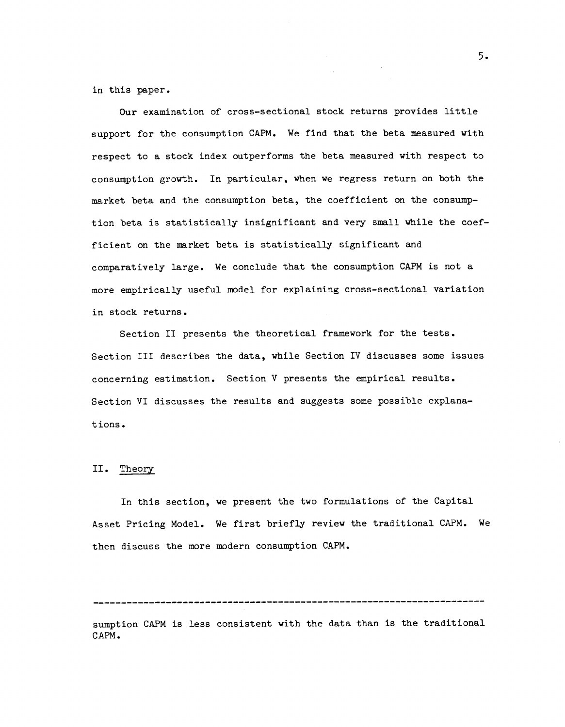in this paper.

Our examination of cross—sectional stock returns provides little support for the consumption CAPM. We find that the beta measured with respect to a stock index outperforms the beta measured with respect to consumption growth. In particular, when we regress return on both the market beta and the consumption beta, the coefficient on the consumption beta is statistically insignificant and very small while the coefficient on the market beta is statistically significant and comparatively large. We conclude that the consumption CAPM is not a more empirically useful model for explaining cross—sectional variation in stock returns.

Section II presents the theoretical framework for the tests. Section III describes the data, while Section IV discusses some issues concerning estimation. Section V presents the empirical results. Section VI discusses the results and suggests some possible explana t ions.

### II. Theory

In this section, we present the two formulations of the Capital Asset Pricing Model. We first briefly review the traditional CAPM. We then discuss the more modern consumption CAPM.

sumption CAPM is less consistent with the data than is the traditional CAPM.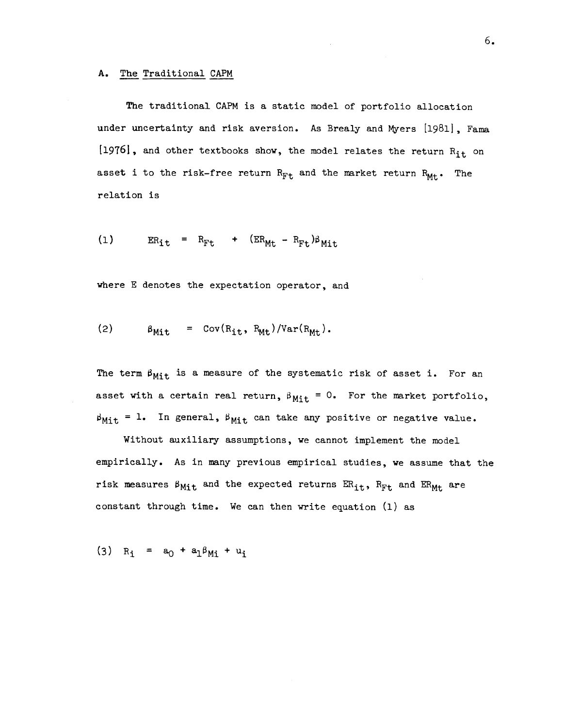The traditional CAPM is a static model of portfolio allocation under uncertainty and risk aversion. As Brealy and Myers [1981], Fama [1976], and other textbooks show, the model relates the return  $R_{it}$  on asset i to the risk-free return  $R_{Ft}$  and the market return  $R_{Mt}$ . The relation is

$$
(1) \t ER_{it} = R_{Ft} + (ER_{Mt} - R_{Ft})\beta_{Mit}
$$

where E denotes the expectation operator, and

(2) 
$$
\beta_{\text{Mit}} = \text{Cov}(R_{\text{it}}, R_{\text{Mt}})/\text{Var}(R_{\text{Mt}}).
$$

The term  $\beta_{\text{Mit}}$  is a measure of the systematic risk of asset i. For an asset with a certain real return,  $\beta_{\text{Mit}} = 0$ . For the market portfolio,  $\beta_{\text{Mit}} = 1$ . In general,  $\beta_{\text{Mit}}$  can take any positive or negative value.

Without auxiliary assumptions, we cannot implement the model empirically. As in many previous empirical studies, we assume that the risk measures  $\beta_{Mit}$  and the expected returns  $ER_{it}$ ,  $R_{Ft}$  and  $ER_{Mt}$  are constant through time. We can then write equation (1) as

(3) 
$$
R_i = a_0 + a_1 \beta_{Mi} + u_i
$$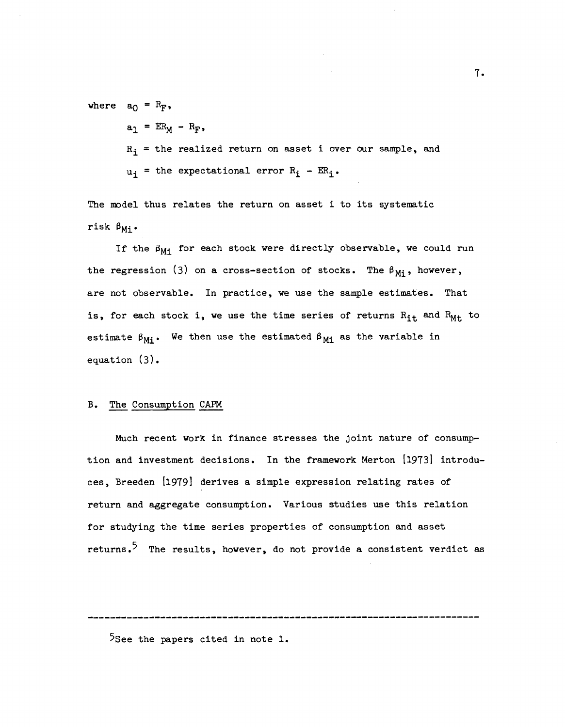where  $a_0 = R_F$ ,

- $a_1$  =  $ER_M R_F$ ,
- $R_i$  = the realized return on asset i over our sample, and
- $u_i$  = the expectational error  $R_i$   $ER_i$ .

The model thus relates the return on asset i to its systematic risk  $\beta_{Mi}$ .

If the  $\beta_{Mi}$  for each stock were directly observable, we could run the regression (3) on a cross-section of stocks. The  $\beta_{Mi}$ , however, are not observable. In practice, we use the sample estimates. That is, for each stock i, we use the time series of returns  $R_{it}$  and  $R_{Mt}$  to estimate  $\beta_{Mi}$ . We then use the estimated  $\beta_{Mi}$  as the variable in equation (3).

#### B. The Consumption CAPM

Much recent work in finance stresses the Joint nature of consumption and investment decisions. In the framework Merton [1973] introduces, Breeden [1979] derives a simple expression relating rates of return and aggregate consumption. Various studies use this relation for studying the time series properties of consumption and asset returns.<sup>5</sup> The results, however, do not provide a consistent verdict as

<sup>5</sup>See the papers cited in note 1.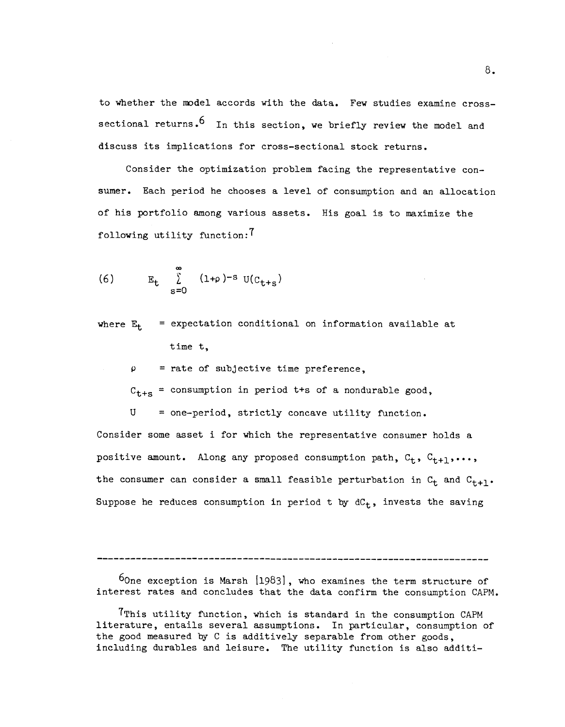to whether the model accords with the data. Few studies examine crosssectional returns.<sup>6</sup> In this section, we briefly review the model and discuss its implications for cross—sectional stock returns.

Consider the optimization problem facing the representative consumer. Each period he chooses a level of consumption and an allocation of his portfolio among various assets. His goal is to maximize the following utility function:

(6) 
$$
E_t \sum_{s=0}^{\infty} (1+\rho)^{-s} U(C_{t+s})
$$

where  $E_{+}$  = expectation conditional on information available at time t,

 $\rho$  = rate of subjective time preference,

 $C_{t+s}$  = consumption in period t+s of a nondurable good,

 $U = one-period, strictly concave utility function.$ 

Consider some asset i for which the representative consumer holds a positive amount. Along any proposed consumption path,  $C_t$ ,  $C_{t+1}$ ,..., the consumer can consider a small feasible perturbation in  $C_t$  and  $C_{t+1}$ . Suppose he reduces consumption in period t by  $dC_t$ , invests the saving

 $60n$ e exception is Marsh  $[1983]$ , who examines the term structure of interest rates and concludes that the data confirm the consumption CAFM.

TThis utility function, which is standard in the consumption CAPM literature, entails several assumptions. In particular, consumption of the good measured by C is additively separable from other goods, including durables and leisure. The utility function is also additi—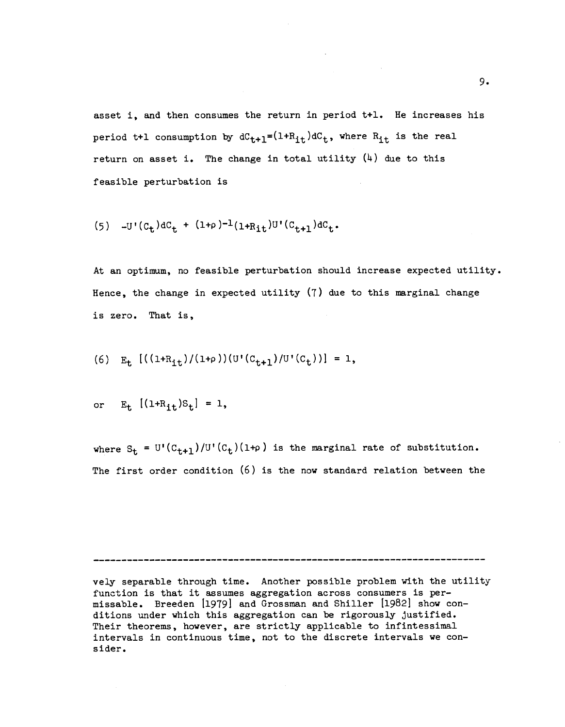asset i, and then consumes the return in period t+l. He increases his period t+1 consumption by  $dC_{t+1}=(1+R_{it})dC_t$ , where  $R_{it}$  is the real return on asset i. The change in total utility  $(4)$  due to this feasible perturbation is

(5) 
$$
-U'(C_t) dC_t + (1+\rho)^{-1}(1+R_{it})U'(C_{t+1}) dC_t
$$
.

At an optimum, no feasible perturbation should increase expected utility. Hence, the change in expected utility (7) due to this marginal change is zero. That is,

(6) 
$$
E_t
$$
 [((1+R<sub>it</sub>)/(1+\rho)) (U'(C<sub>t+1</sub>)/U'(C<sub>t</sub>))] = 1,

or 
$$
E_t
$$
  $[(1 + R_{it})S_t] = 1$ ,

where  $S_t = U'(C_{t+1})/U'(C_t)(1+\rho)$  is the marginal rate of substitution. The first order condition (6) is the now standard relation between the

vely separable through time. Another possible problem with the utility function is that it assumes aggregation across consumers is per missable. Breeden [1979] and Grossman and Shiller [1982] show conditions under which this aggregation can be rigorously justified. Their theorems, however, are strictly applicable to infintessimal intervals in continuous time, not to the discrete intervals we con s ider.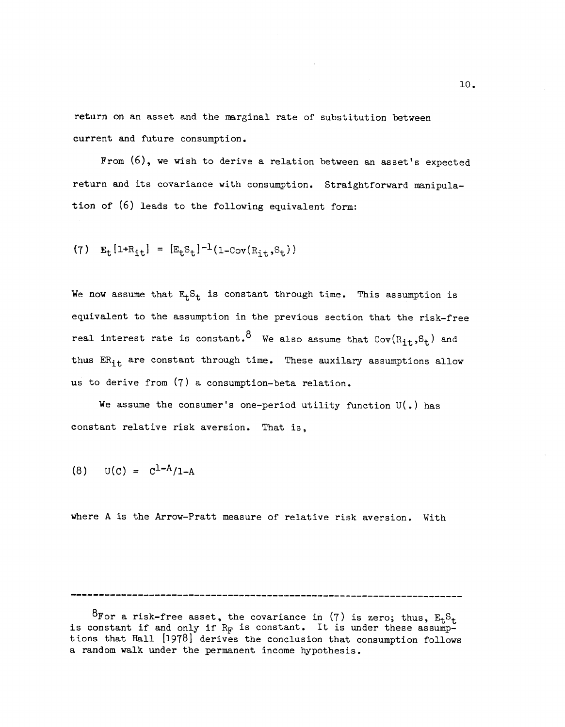return on an asset and the marginal rate of substitution between current and future consumption.

From (6), we wish to derive a relation between an asset's expected return and its covariance with consumption. Straightforward manipulation of (6) leads to the following equivalent form:

(7) 
$$
E_t[1+R_{it}] = [E_tS_t]^{-1}(1-\text{Cov}(R_{it},S_t))
$$

We now assume that  $E_t S_t$  is constant through time. This assumption is equivalent to the assumption in the previous section that the risk—free real interest rate is constant.  $8\,$  We also assume that Cov( $R_{\bf it}$ , $S_{\bf t}$ ) and thus  $ER_{it}$  are constant through time. These auxilary assumptions allow us to derive from (7) a consumption—beta relation.

We assume the consumer's one-period utility function  $U(.)$  has constant relative risk aversion. That is,

$$
(8) \tU(c) = c^{1-A}/1-A
$$

where A is the Arrow—Pratt measure of relative risk aversion. With

<sup>&</sup>lt;sup>O</sup>For a risk-free asset, the covariance in  $(7)$  is zero; thus,  $E_tS_t$ is constant if and only if  $R_{\text{F}}$  is constant. It is under these assumptions that Hall [1978] derives the conclusion that consumption follows a random walk under the permanent income hypothesis.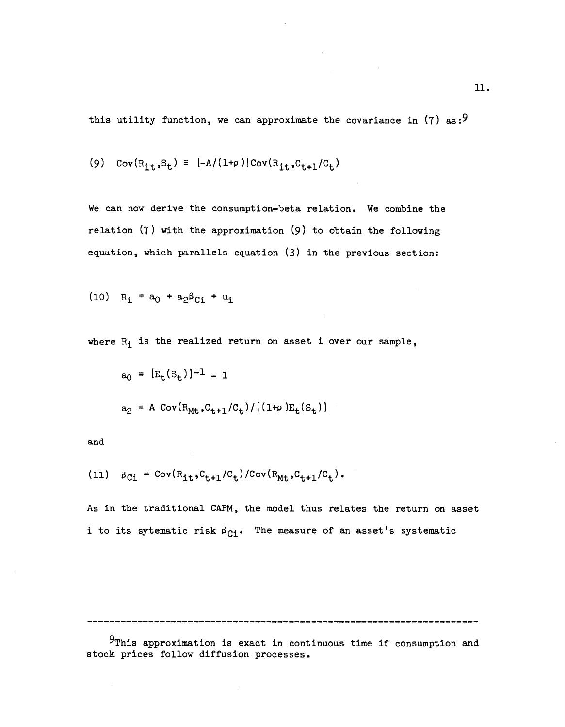this utility function, we can approximate the covariance in  $(7)$  as:<sup>9</sup>

$$
(9) \quad Cov(R_{it}, S_t) \cong [-A/(1+\rho)] Cov(R_{it}, C_{t+1}/C_t)
$$

We can now derive the consumption—beta relation. We combine the relation (7) with the approximation (9) to obtain the following equation, which parallels equation (3) in the previous section:

$$
(10) R_{\mathbf{i}} = a_0 + a_2 \beta_{\mathbf{C} \mathbf{i}} + u_{\mathbf{i}}
$$

where  $R_1$  is the realized return on asset i over our sample,

$$
a_0 = [E_t(S_t)]^{-1} - 1
$$
  

$$
a_2 = A \text{ Cov}(R_{Mt}, C_{t+1}/C_t) / [(1+\rho)E_t(S_t)]
$$

and

(11) 
$$
\beta_{C1} = \text{Cov}(R_{it}, C_{t+1}/C_t)/\text{Cov}(R_{Mt}, C_{t+1}/C_t).
$$

As in the traditional CAPM, the model thus relates the return on asset i to its sytematic risk  $\beta_{Ci}$ . The measure of an asset's systematic

 $9$ This approximation is exact in continuous time if consumption and stock prices follow diffusion processes.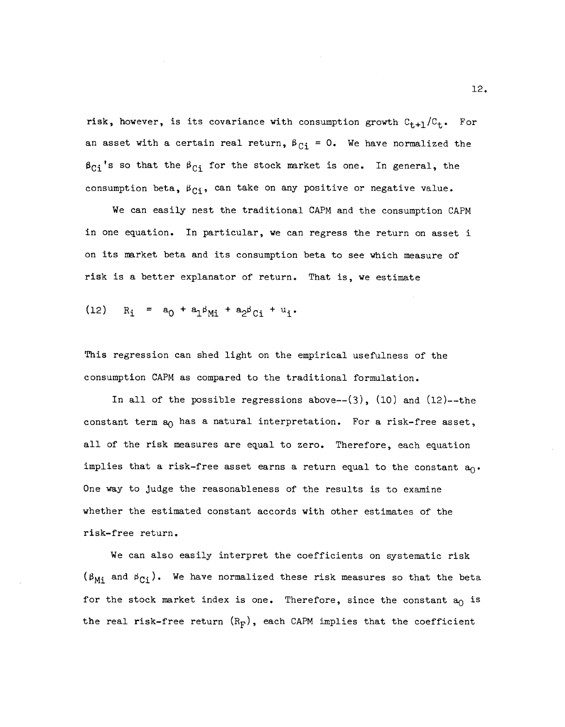risk, however, is its covariance with consumption growth  $C_{t+1}/C_t$ . For an asset with a certain real return,  $\beta_{Ci} = 0$ . We have normalized the  $\beta_{C_i}$ 's so that the  $\beta_{C_i}$  for the stock market is one. In general, the consumption beta,  $\beta_{Ci}$ , can take on any positive or negative value.

We can easily nest the traditional CAPM and the consumption CAPM in one equation. In particular, we can regress the return on asset i on its market beta and its consumption beta to see which measure of risk is a better explanator of return. That is, we estimate

(12) 
$$
R_i = a_0 + a_1 \beta_{Mi} + a_2 \beta_{Ci} + u_i
$$
.

This regression can shed light on the empirical usefulness of the consumption CAPM as compared to the traditional formulation.

In all of the possible regressions above-- $(3)$ ,  $(10)$  and  $(12)$ --the constant term  $a_0$  has a natural interpretation. For a risk-free asset, all of the risk measures are equal to zero. Therefore, each equation implies that a risk-free asset earns a return equal to the constant  $a_0$ . One way to judge the reasonableness of the results is to examine whether the estimated constant accords with other estimates of the risk—free return.

We can also easily interpret the coefficients on systematic risk  $(\beta_{Mi}$  and  $\beta_{Ci}$ ). We have normalized these risk measures so that the beta for the stock market index is one. Therefore, since the constant  $a_0$  is the real risk-free return  $(R_F)$ , each CAPM implies that the coefficient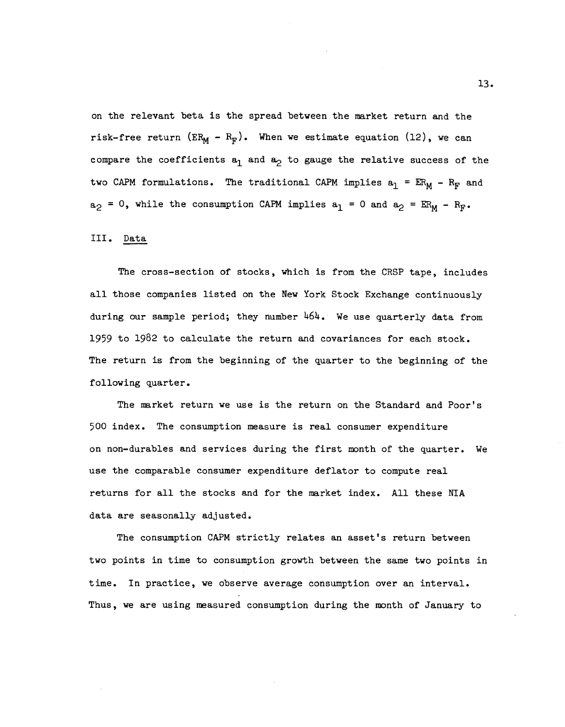on the relevant beta is the spread between the market return and the risk-free return (ER<sub>M</sub> - R<sub>F</sub>). When we estimate equation (12), we can compare the coefficients  $a_1$  and  $a_2$  to gauge the relative success of the two CAPM formulations. The traditional CAPM implies  $a_1 = ER_M - R_F$  and  $a_2$  = 0, while the consumption CAPM implies  $a_1$  = 0 and  $a_2$  =  $ER_M - R_F$ .

## III. Data

The cross—section of stocks, which is from the CRSP tape, includes all those companies listed on the New York Stock Exchange continuously during our sample period; they number  $464$ . We use quarterly data from 1959 to 1982 to calculate the return and covariances for each stock. The return is from the beginning of the quarter to the beginning of the following quarter.

The market return we use is the return on the Standard and Poor's 500 index. The consumption measure is real consumer expenditure on non-durables and services during the first month of the quarter. We use the comparable consumer expenditure deflator to compute real returns for all the stocks and for the market index. All these NIA data are seasonally adjusted.

The consumption CAPM strictly relates an asset's return between two points in time to consumption growth between the same two points in time. In practice, we observe average consumption over an interval. Thus, we are using measured consumption during the month of January to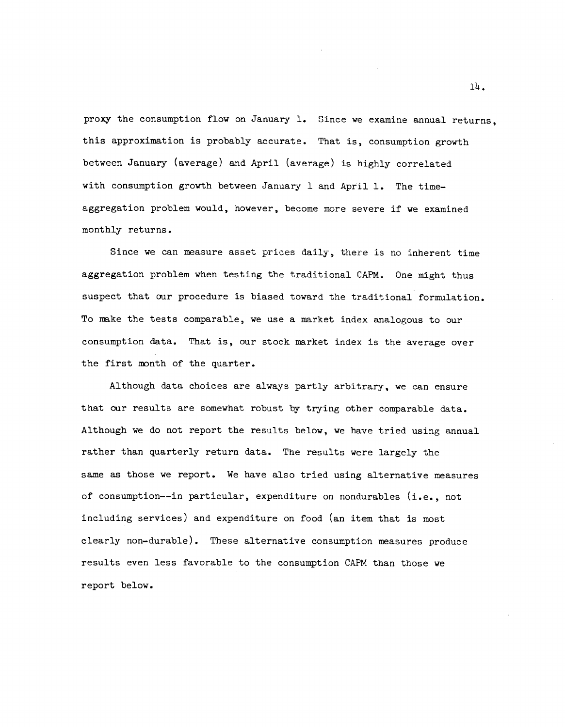proxy the consumption flow on January 1. Since we examine annual returns, this approximation is probably accurate. That is, consumption growth between January (average) and April (average) is highly correlated with consumption growth between January 1 and April 1. The timeaggregation problem would, however, become more severe if we examined monthly returns.

Since we can measure asset prices daily, there is no inherent time aggregation problem when testing the traditional CAPM. One might thus suspect that our procedure is biased toward the traditional formulation. To make the tests comparable, we use a market index analogous to our consumption data. That is, our stock market index is the average over the first month of the Quarter.

Although data choices are always partly arbitrary, we can ensure that our results are somewhat robust by trying other comparable data. Although we do not report the results below, we have tried using annual rather than Quarterly return data. The results were largely the same as those we report. We have also tried using alternative measures of consumption——in particular, expenditure on nondurables (i.e., not including services) and expenditure on food (an item that is most clearly non—durable). These alternative consumption measures produce results even less favorable to the consumption CAPM than those we report below.

l4.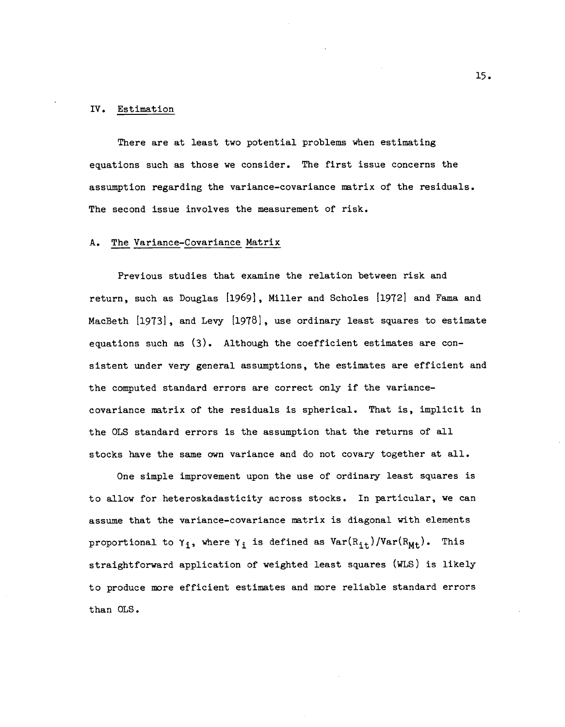#### IV. Estimation

There are at least two potential problems when estimating equations such as those we consider. The first issue concerns the assumption regarding the variance—covariance matrix of the residuals. The second issue involves the measurement of risk.

#### A. The Variance—Covariance Matrix

Previous studies that examine the relation between risk and return, such as Douglas [1969], Miller and Scholes [1972] and Fama and MacBeth [1973], and Levy [1978], use ordinary least squares to estimate equations such as (3). Although the coefficient estimates are consistent under very general assumptions, the estimates are efficient and the computed standard errors are correct only if the variance covariance matrix of the residuals is spherical. That is, implicit in the OLS standard errors is the assumption that the returns of all stocks have the same own variance and do not covary together at all.

One simple improvement upon the use of ordinary least squares is to allow for heteroskadasticity across stocks. In particular, we can assume that the variance—covariance matrix is diagonal with elements proportional to  $\gamma_i$ , where  $\gamma_i$  is defined as  $Var(R_{it})/Var(R_{Mt})$ . This straightforward application of weighted least squares (WLS) is likely to produce more efficient estimates and more reliable standard errors than OLS.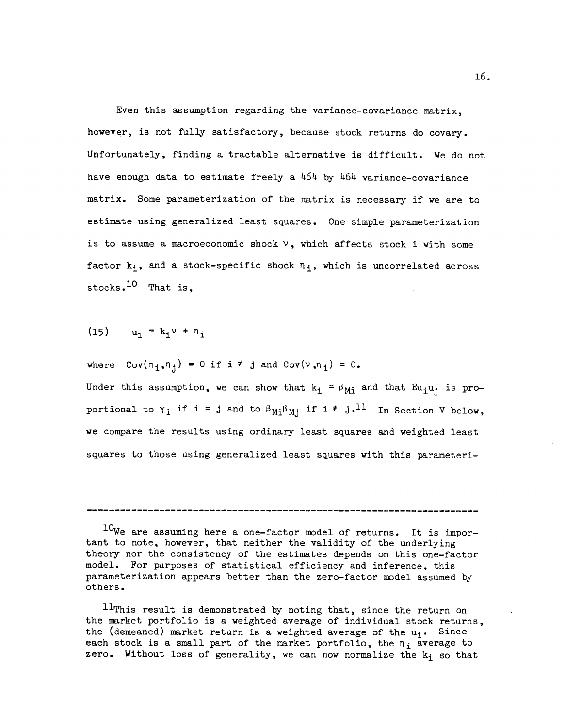Even this assumption regarding the variance-covariance matrix, however, is not fully satisfactory, because stock returns do covary. Unfortunately, finding a tractable alternative is difficult. We do not have enough data to estimate freely a 464 by 464 variance-covariance matrix. Some parameterization of the matrix is necessary if we are to estimate using generalized least squares. One simple parameterization is to assume a macroeconomic shock  $\nu$ , which affects stock i with some factor  $k_i$ , and a stock-specific shock  $n_i$ , which is uncorrelated across stocks. $^{10}$  That is.

 $(15)$   $u_i = k_i v + n_i$ 

where  $Cov(n_i,n_i) = 0$  if  $i \neq j$  and  $Cov(v,n_i) = 0$ .

Under this assumption, we can show that  $k_i = \beta_{Mi}$  and that  $Eu_iu_i$  is proportional to  $\gamma_i$  if i = j and to  $\beta_{Mi}\beta_{Mi}$  if i  $\neq j_*$ <sup>11</sup> In Section V below, we compare the results using ordinary least squares and weighted least squares to those using generalized least squares with this parameteri-

 $10$ We are assuming here a one-factor model of returns. It is important to note, however, that neither the validity of the underlying theory nor the consistency of the estimates depends on this one—factor model. For purposes of statistical efficiency and inference, this parameterization appears better than the zero—factor model assumed by others.

 $11$ This result is demonstrated by noting that, since the return on the market portfolio is a weighted average of individual stock returns, the (demeaned) market return is a weighted average of the  $u_i$ . Since each stock is a small part of the market portfolio, the  $n_i$  average to zero. Without loss of generality, we can now normalize the  $k_i$  so that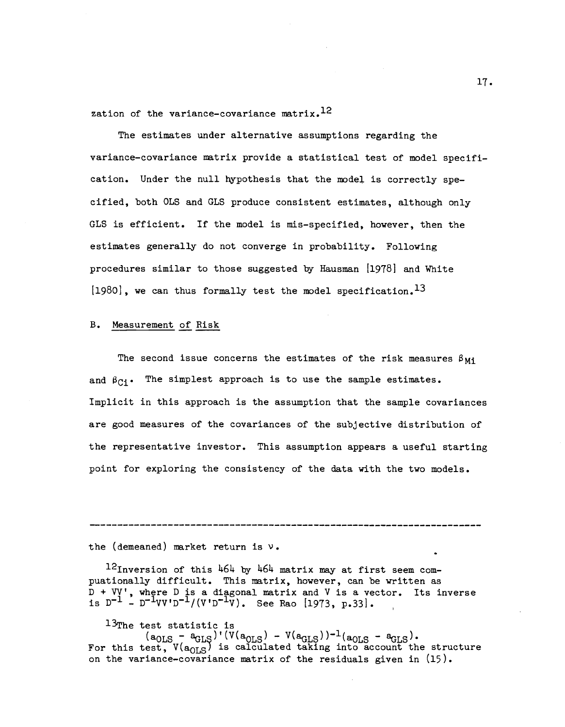zation of the variance-covariance matrix.<sup>12</sup>

The estimates under alternative assumptions regarding the variance—covariance matrix provide a statistical test of model specification. Under the null hypothesis that the model is correctly specified, both OLS and GLS produce consistent estimates, although only GLS is efficient. If the model is mis—specified, however, then the estimates generally do not converge in probability. Following procedures similar to those suggested by Hausman  $[1978]$  and White  $[1980]$ , we can thus formally test the model specification.<sup>13</sup>

## B. Measurement of Risk

The second issue concerns the estimates of the risk measures  $\beta_{Mi}$ and  $\beta_{C_i^i}$ . The simplest approach is to use the sample estimates. Implicit in this approach is the assumption that the sample covariances are good measures of the covariances of the subjective distribution of the representative investor. This assumption appears a useful starting point for exploring the consistency of the data with the two models.

the (demeaned) market return is v.

 $^{12}$ Inversion of this 464 by 464 matrix may at first seem compuationally difficult. This matrix, however, can be written as D + VV', where D is a diagonal matrix and V is a vector. Its inverse<br>is D<sup>-1</sup> - D<sup>-1</sup>VV'D<sup>-1</sup>/(V'D<sup>-1</sup>V). See Rao [1973, p.33].

<sup>13</sup>The test statistic is<br>
(a<sub>OLS</sub> - a<sub>GLS</sub>)'(V(a<sub>OLS</sub>) - V(a<sub>GLS</sub>))<sup>-1</sup>(a<sub>OLS</sub> - a<sub>GLS</sub>).<br>
For this test, V(a<sub>OLS</sub>) is calculated taking into account the structure on the variance-covariance matrix of the residuals given in  $(15)$ .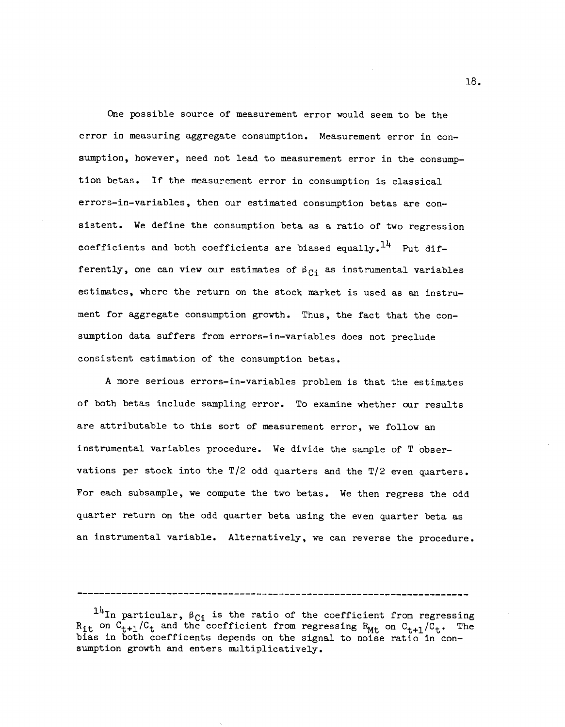One possible source of measurement error would seem to be the error in measuring aggregate consumption. Measurement error in con sumption, however, need not lead to measurement error in the consumption betas. If the measurement error in consumption is classical errors—in—variables, then our estimated consumption betas are consistent. We define the consumption beta as a ratio of two regression coefficients and both coefficients are biased equally.<sup>14</sup> Put differently, one can view our estimates of  $\beta_{Ci}$  as instrumental variables estimates, where the return on the stock market is used as an instrument for aggregate consumption growth. Thus, the fact that the consumption data suffers from errors—in—variables does not preclude consistent estimation of the consumption betas.

A more serious errors—in—variables problem is that the estimates of both betas include sampling error. To examine whether our results are attributable to this sort of measurement error, we follow an instrumental variables procedure. We divide the sample of T observations per stock into the T/2 odd quarters and the T/2 even quarters. For each subsample, we compute the two betas. We then regress the odd quarter return on the odd quarter beta using the even quarter beta as an instrumental variable. Alternatively, we can reverse the procedure.

18.

<sup>&</sup>lt;sup>14</sup>In particular,  $\beta_{C_i}$  is the ratio of the coefficient from regressing  $R_{it}$  on  $C_{t+1}/C_t$  and the coefficient from regressing  $R_{Mt}$  on  $C_{t+1}/C_t$ . The bias in both coefficents depends on the signal to noise ratio in con sumption growth and enters multiplicatively.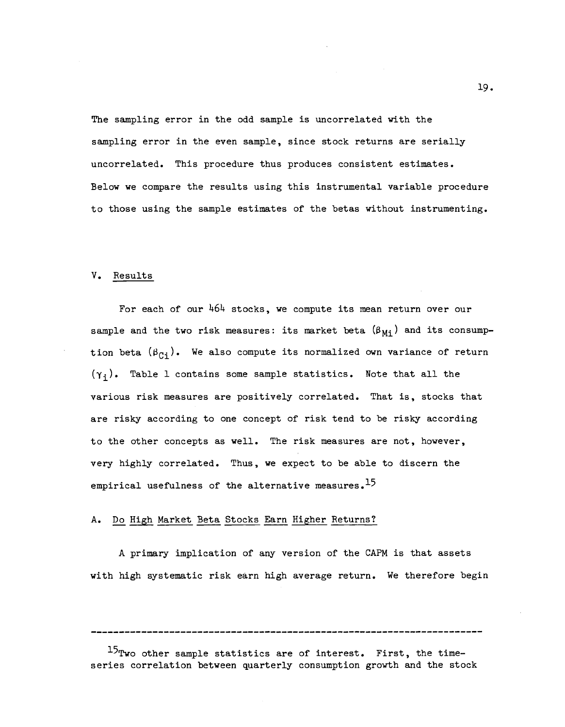The sampling error in the odd sample is uncorrelated with the sampling error in the even sample, since stock returns are serially uncorrelated. This procedure thus produces consistent estimates. Below we compare the results using this instrumental variable procedure to those using the sample estimates of the betas without instrumenting.

### V. Results

For each of our 464 stocks, we compute its mean return over our sample and the two risk measures: its market beta  $(\beta_{Mi})$  and its consumption beta  $(\beta_{C_i})$ . We also compute its normalized own variance of return  $(\gamma_i)$ . Table 1 contains some sample statistics. Note that all the various risk measures are positively correlated. That is, stocks that are risky according to one concept of risk tend to be risky according to the other concepts as well. The risk measures are not, however, very highly correlated. Thus, we expect to be able to discern the empirical usefulness of the alternative measures.<sup>15</sup>

### A. Do High Market Beta Stocks Earn Higher Returns?

A primary implication of any version of the CAPM is that assets with high systematic risk earn high average return. We therefore begin

 $15$ Two other sample statistics are of interest. First, the timeseries correlation between quarterly consumption growth and the stock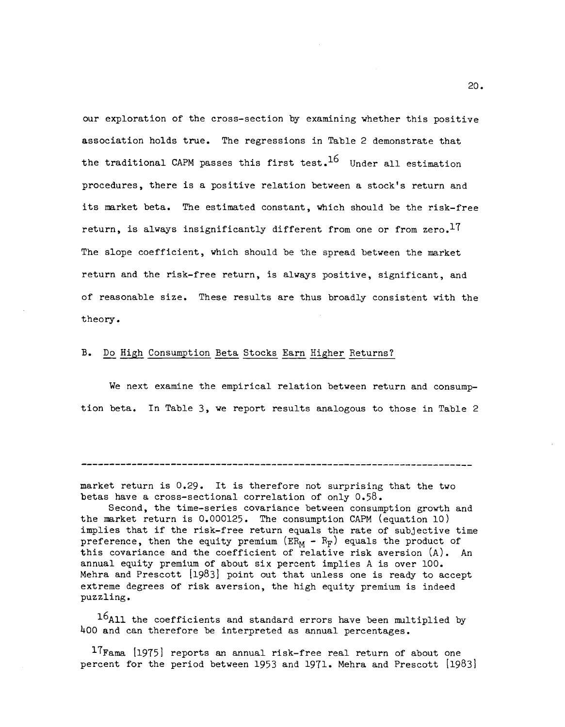our exploration of the cross—section by examining whether this positive association holds true. The regressions in Table 2 demonstrate that the traditional CAPM passes this first test.<sup>16</sup> Under all estimation procedures, there is a positive relation between a stock's return and its market beta. The estimated constant, which should be the risk—free return, is always insignificantly different from one or from  $zero.$ <sup>17</sup> The slope coefficient, which should be the spread between the market return and the risk—free return, is always positive, significant, and of reasonable size. These results are thus broadly consistent with the theory.

### B. Do High Consumption Beta Stocks Earn Higher Returns?

We next examine the empirical relation between return and consumption beta. In Table 3, we report results analogous to those in Table 2

market return is 0.29. It is therefore not surprising that the two betas have a cross-sectional correlation of only  $0.58$ .

Second, the time—series covariance between consumption growth and the market return is 0.000125. The consumption CAPM (equation 10) implies that if the risk—free return equals the rate of subjective time preference, then the equity premium ( $ER_M - R_F$ ) equals the product of this covariance and the coefficient of relative risk aversion (A). An annual equity premium of about six percent implies A is over 100. Mehra and Prescott [1983] point out that unless one is ready to accept extreme degrees of risk aversion, the high equity premium is indeed puzzling.

 $16$ All the coefficients and standard errors have been multiplied by 400 and can therefore be interpreted as annual percentages.

 $17$ Fama [1975] reports an annual risk-free real return of about one percent for the period between 1953 and 1971. Mehra and Prescott [1983]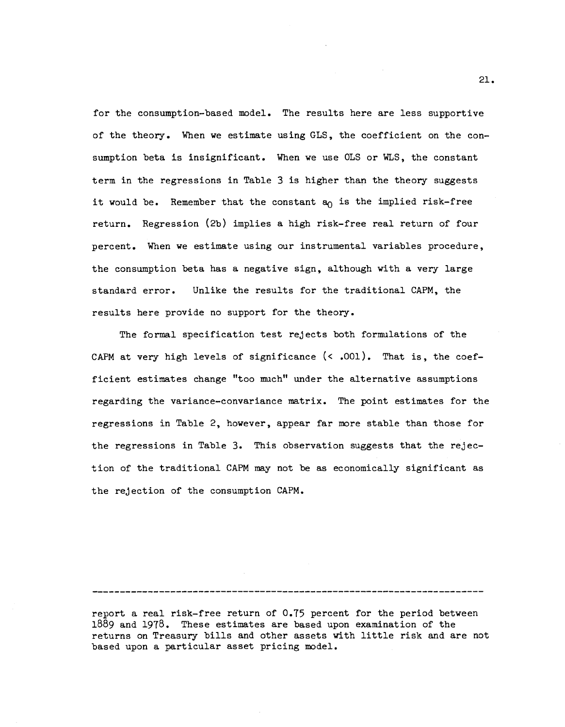for the consumption—based model. The results here are less supportive of the theory. When we estimate using GLS, the coefficient on the consumption beta is insignificant. When we use OLS or WLS, the constant term in the regressions in Table 3 is higher than the theory suggests it would be. Remember that the constant  $a_0$  is the implied risk-free return. Regression (2b) implies a high risk—free real return of four percent. When we estimate using our instrumental variables procedure, the consumption beta has a negative sign, although with a very large standard error. Unlike the results for the traditional CAPM, the results here provide no support for the theory.

The formal specification test rejects both formulations of the CAPM at very high levels of significance  $(< .001)$ . That is, the coefficient estimates change "too much" under the alternative assumptions regarding the variance—convariance matrix. The point estimates for the regressions in Table 2, however, appear far more stable than those for the regressions in Table 3. This observation suggests that the rejection of the traditional CAPM may not be as economically significant as the rejection of the consumption CAPM.

report a real risk—free return of 0.T5 percent for the period between 1889 and 1978. These estimates are based upon examination of the returns on Treasury bills and other assets with little risk and are not based upon a particular asset pricing model.

21.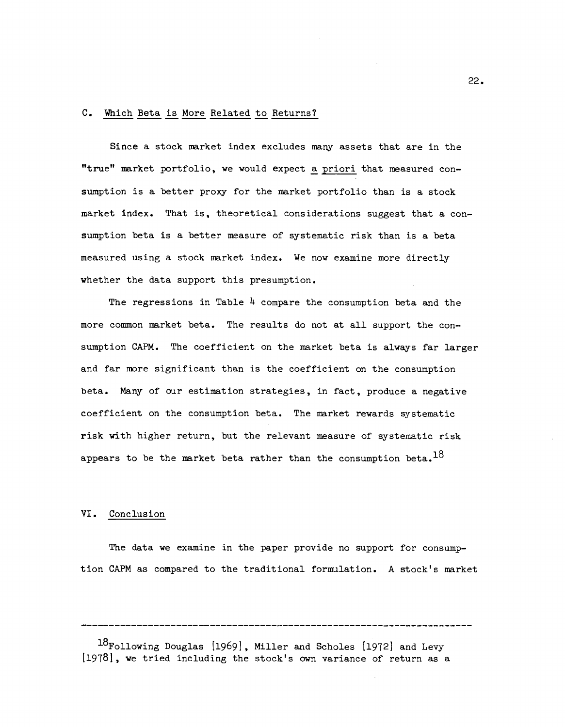#### C. Which Beta is More Related to Returns?

Since a stock market index excludes many assets that are in the "true" market portfolio, we would expect a priori that measured con sumption is a better proxy for the market portfolio than is a stock market index. That is, theoretical considerations suggest that a con sumption beta is a better measure of systematic risk than is a beta measured using a stock market index. We now examine more directly whether the data support this presumption.

The regressions in Table  $\frac{h}{2}$  compare the consumption beta and the more common market beta. The results do not at all support the consumption CAPM. The coefficient on the market beta is always far larger and far more significant than is the coefficient on the consumption beta. Many of our estimation strategies, in fact, produce a negative coefficient on the consumption beta. The market rewards systematic risk with higher return, but the relevant measure of systematic risk appears to be the market beta rather than the consumption beta.<sup>18</sup>

### VI. Conclusion

The data we examine in the paper provide no support for consumption CAPM as compared to the traditional formulation. A stock's market

18Following Douglas [1969], Miller and Scholes [1972] and Levy [1978], we tried including the stock's own variance of return as a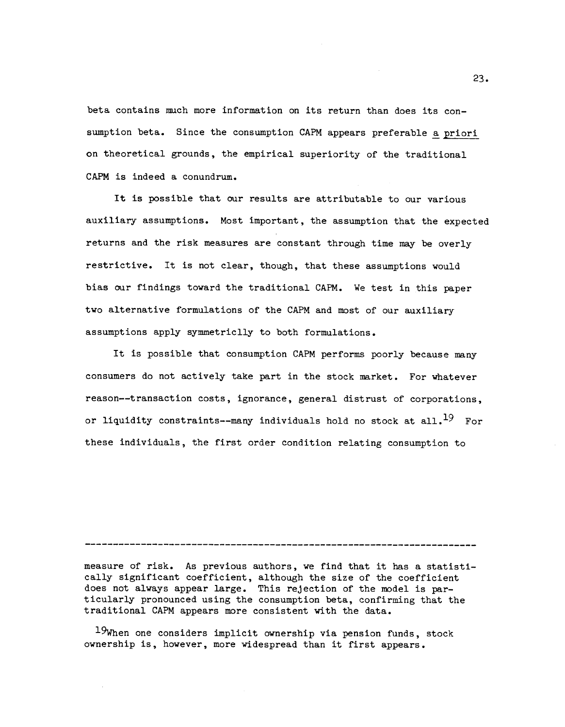beta contains much more information on its return than does its con sumption beta. Since the consumption CAPM appears preferable a priori on theoretical grounds, the empirical superiority of the traditional CAPM is indeed a conundrum.

It is possible that our results are attributable to our various auxiliary assumptions. Most important, the assumption that the expected returns and the risk measures are constant through time may be overly restrictive. It is not clear, though, that these assumptions would bias our findings toward the traditional CAPM. We test in this paper two alternative formulations of the CAPM and most of our auxiliary assumptions apply symmetriclly to both formulations.

It is possible that consumption CAPM performs poorly because many consumers do not actively take part in the stock market. For whatever reason——transaction costs, ignorance, general distrust of corporations, or liquidity constraints--many individuals hold no stock at all. $^{19}$  For these individuals, the first order condition relating consumption to

#### 

measure of risk. As previous authors, we find that it has a statistically significant coefficient, although the size of the coefficient does not always appear large. This rejection of the model is particularly pronounced using the consumption beta, confirming that the traditional CAPM appears more consistent with the data.

 $19$ When one considers implicit ownership via pension funds, stock ownership is, however, more widespread than it first appears.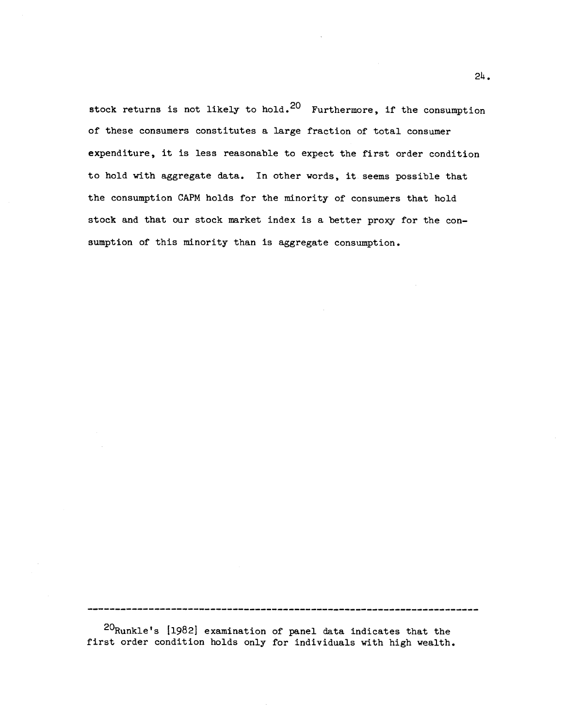stock returns is not likely to hold.<sup>20</sup> Furthermore, if the consumption of these consumers constitutes a large fraction of total consumer expenditure, it is less reasonable to expect the first order condition to hold with aggregate data. In other words, it seems possible that the consumption CAPM holds for the minority of consumers that hold stock and that our stock market index is a better proxy for the con sumption of this minority than is aggregate consumption.

20Runkle's [1982] examination of panel data indicates that the first order condition holds only for individuals with high wealth.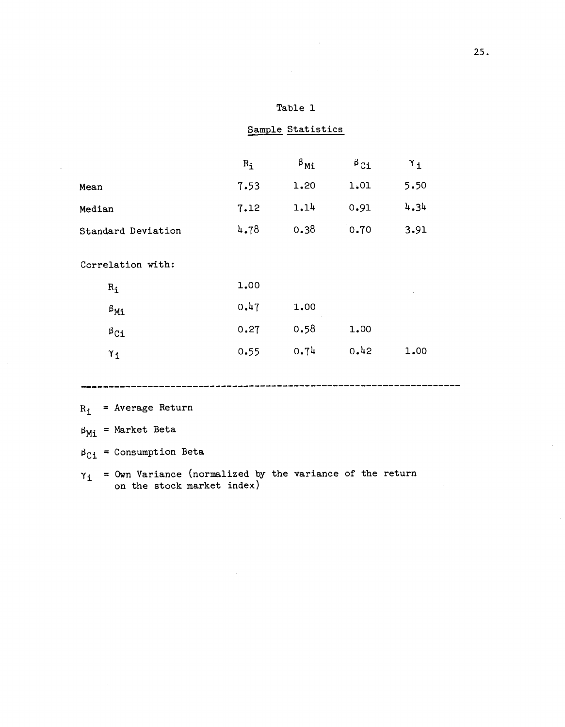| Table |  |
|-------|--|
|-------|--|

Sample Statistics

|                     | $R_i$ | $\beta_{\text{Mi}}$ | $\beta$ Ci | $\gamma_{\texttt{i}}$ |
|---------------------|-------|---------------------|------------|-----------------------|
| Mean                | 7.53  | 1.20                | 1.01       | 5.50                  |
| Median              | 7.12  | 1.14                | 0.91       | 4.34                  |
| Standard Deviation  | 4.78  | 0.38                | 0.70       | 3.91                  |
| Correlation with:   |       |                     |            |                       |
| $R_i$               | 1.00  |                     |            |                       |
| $\beta_{\text{M}i}$ | 0.47  | 1.00                |            |                       |
| $\beta_{\text{Ci}}$ | 0.27  | 0.58                | 1.00       |                       |
| $\gamma_{i}$        | 0.55  | 0.74                | 0.42       | 1.00                  |
|                     |       |                     |            |                       |

 $R_i$  = Average Return

 $\beta_{\text{Mi}}$  = Market Beta

 $\beta_{\text{Ci}}$  = Consumption Beta

 $\gamma_{\dot 1}$  = Own Variance (normalized by the variance of the return on the stock market index)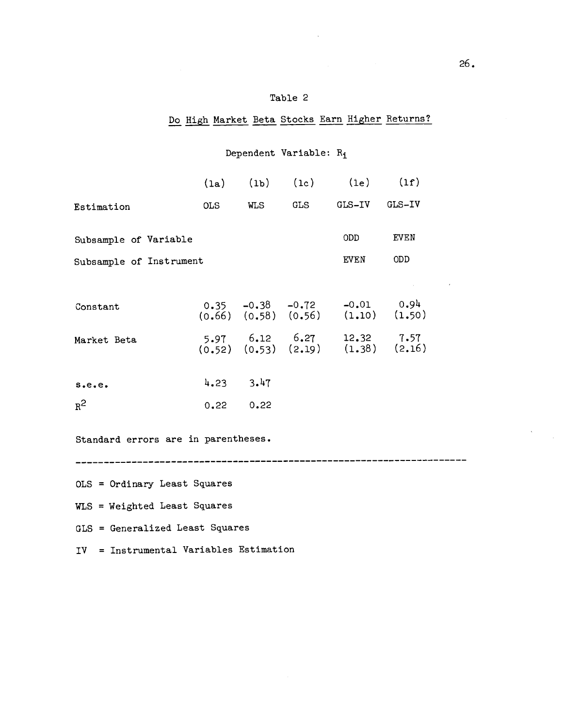## Table 2

## Do High Market Beta Stocks Earn Higher Returns?

# Dependent Variable: R<sub>i</sub>

|                         |               |     |     | $(la)$ $(lb)$ $(lc)$ $(le)$ $(lf)$                                                  |      |
|-------------------------|---------------|-----|-----|-------------------------------------------------------------------------------------|------|
| Estimation              | OLS           | WLS | GLS | GLS-IV GLS-IV                                                                       |      |
| Subsample of Variable   |               |     |     | ODD.                                                                                | EVEN |
| Subsample of Instrument |               |     |     | EVEN                                                                                | ODD  |
| Constant                |               |     |     | $0.35$ -0.38 -0.72 -0.01 0.94<br>(0.66) (0.58) (0.56) (1.10) (1.50)                 |      |
| Market Beta             |               |     |     | $5.97$ $6.12$ $6.27$ $12.32$ $7.57$<br>$(0.52)$ $(0.53)$ $(2.19)$ $(1.38)$ $(2.16)$ |      |
| s.e.e.                  | $4.23$ $3.47$ |     |     |                                                                                     |      |
| $R^2$                   | 0.2200.22     |     |     |                                                                                     |      |

Standard errors are in parentheses.

OLS = Ordinary Least Squares

WLS = Weighted Least Squares

GLS = Generalized Least Squares

IV = Instrumental Variables Estimation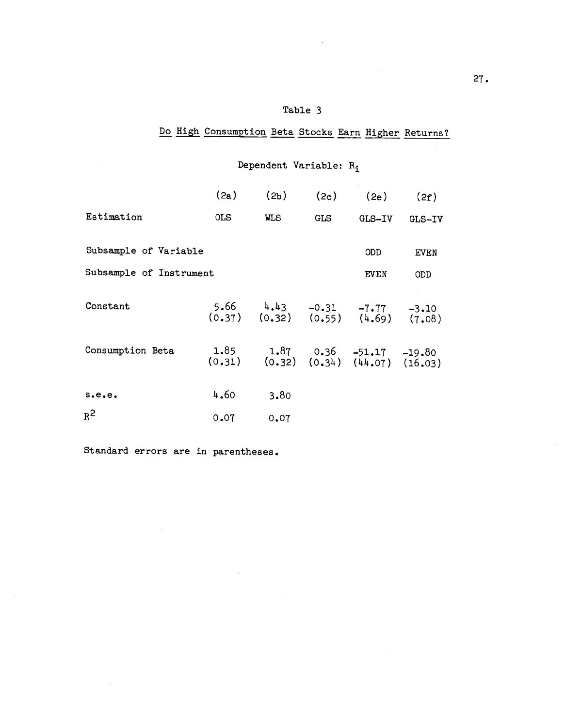## Table 3

# Do High Consumption Beta Stocks Earn Higher Returns?

# Dependent Variable:  $R_i$

 $\sim$ 

|                         | (2a)       | (2 <sub>b</sub> )                                                    | (2c)       | (2e)   | (2f)   |  |
|-------------------------|------------|----------------------------------------------------------------------|------------|--------|--------|--|
| Estimation              | <b>OLS</b> | <b>WLS</b>                                                           | <b>GLS</b> | GLS-IV | GLS-IV |  |
| Subsample of Variable   |            |                                                                      |            | ODD.   | EVEN   |  |
| Subsample of Instrument |            |                                                                      |            | EVEN   | ODD    |  |
| Constant                |            | 5.66 $4.43$ -0.31 -7.77 -3.10<br>(0.37) (0.32) (0.55) (4.69) (7.08)  |            |        |        |  |
| Consumption Beta        |            | 1.85 1.87 0.36 -51.17 -19.80<br>(0.31) (0.32) (0.34) (44.07) (16.03) |            |        |        |  |
| s.e.e.                  | 4.60       | 3.80                                                                 |            |        |        |  |
| $R^2$                   | 0.07       | 0.07                                                                 |            |        |        |  |

Standard errors are in parentheses.

 $\overline{\phantom{a}}$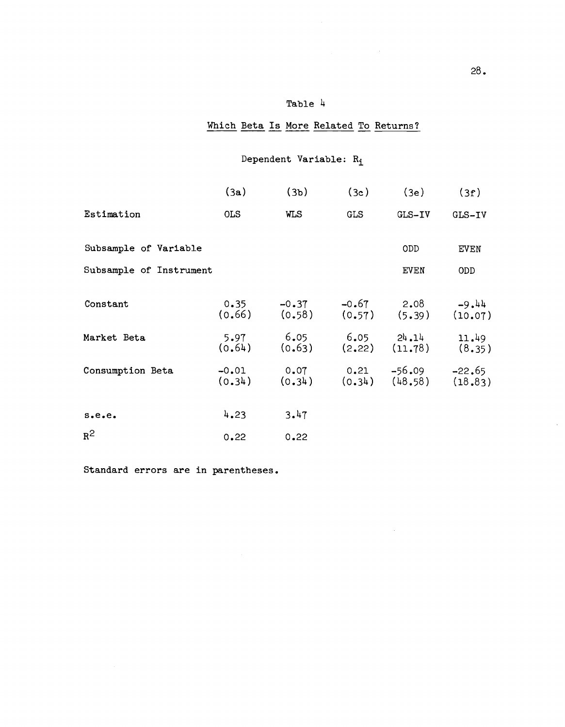# Table 4

# Which Beta Is More Related To Returns?

# Dependent Variable: R<sub>i</sub>

|                         | (3a)       | (3 <sub>b</sub> )                                                                     | (3c)       | (3e)        | (3f)       |  |
|-------------------------|------------|---------------------------------------------------------------------------------------|------------|-------------|------------|--|
| Estimation              | <b>OLS</b> | <b>WLS</b>                                                                            | <b>GLS</b> | GLS-IV      | GLS-IV     |  |
| Subsample of Variable   |            |                                                                                       |            | <b>ODD</b>  | EVEN       |  |
| Subsample of Instrument |            |                                                                                       |            | <b>EVEN</b> | <b>ODD</b> |  |
| Constant                |            | $0.35$ -0.37 -0.67 2.08 -9.44<br>(0.66) (0.58) (0.57) (5.39) (10.07)                  |            |             |            |  |
| Market Beta             |            | $5.97$ 6.05 6.05 $24.14$ 11.49<br>$(0.64)$ $(0.63)$ $(2.22)$ $(11.78)$ $(8.35)$       |            |             |            |  |
| Consumption Beta        |            | $-0.01$ 0.07 0.21 $-56.09$ $-22.65$<br>$(0.34)$ $(0.34)$ $(0.34)$ $(48.58)$ $(18.83)$ |            |             |            |  |
| s.e.e.                  | 4.23       | 3.47                                                                                  |            |             |            |  |
| $R^2$                   | 0.22       | 0.22                                                                                  |            |             |            |  |

Standard errors are in parentheses.

 $\ddot{\phantom{a}}$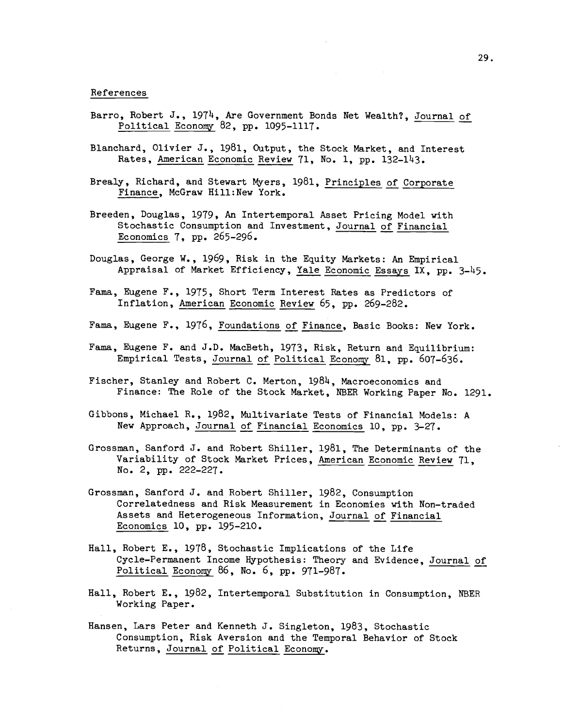#### References

- Barro, Robert J., 1974, Are Government Bonds Net Wealth?, Journal of Political Economy 82, pp. 1095-1117.
- Blanchard, Olivier J., 1981, Output, the Stock Market, and Interest Rates, American Economic Review 71, No. 1, pp. 132-143.
- Brealy, Richard, and Stewart Myers, 1981, Principles of Corporate Finance, McGraw Hill:New York.
- Breeden, Douglas, 1979, An Intertemporal Asset Pricing Model with Stochastic Consumption and Investment, Journal of Financial Economics 7, pp. 265—296.
- Douglas, George W., 1969, Risk in the Equity Markets: An Empirical Appraisal of Market Efficiency, Yale Economic Essays IX, pp.  $3-45$ .
- Fama, Eugene F., 1975, Short Term Interest Rates as Predictors of Inflation, American Economic Review 65, pp. 269—282.
- Fama, Eugene F., 1976, Foundations of Finance, Basic Books: New York.
- Fama, Eugene F. and J.D. MacBeth, 1973, Risk, Return and Equilibrium: Empirical Tests, Journal of Political Economy 81, pp. 607-636.
- Fischer, Stanley and Robert C. Merton, 1984, Macroeconomics and Finance: The Role of the Stock Market, NBER Working Paper No. 1291.
- Gibbons, Michael R., 1982, Multivariate Tests of Financial Models: A New Approach, Journal of Financial Economics 10, pp. 3—27.
- Grossman, Sanford J. and Robert Shiller, 1981, The Determinants of the Variability of Stock Market Prices, American Economic Review 71, No. 2, pp. 222—227.
- Grossman, Sanford J. and Robert Shiller, 1982, Consumption Correlatedness and Risk Measurement in Economies with Non—traded Assets and Heterogeneous Information, Journal of Financial Economics 10, pp. 195—210.
- Hall, Robert E., 1978, Stochastic Implications of the Life Cycle—Permanent Income Hypothesis: Theory and Evidence, Journal of Political Economy 86, No. 6, pp. 971—987.
- Hall, Robert E., 1982, Intertemporal Substitution in Consumption, NBER Working Paper.
- Hansen, Lars Peter and Kenneth J. Singleton, 1983, Stochastic Consumption, Risk Aversion and the Temporal Behavior of Stock Returns, Journal of Political Economy.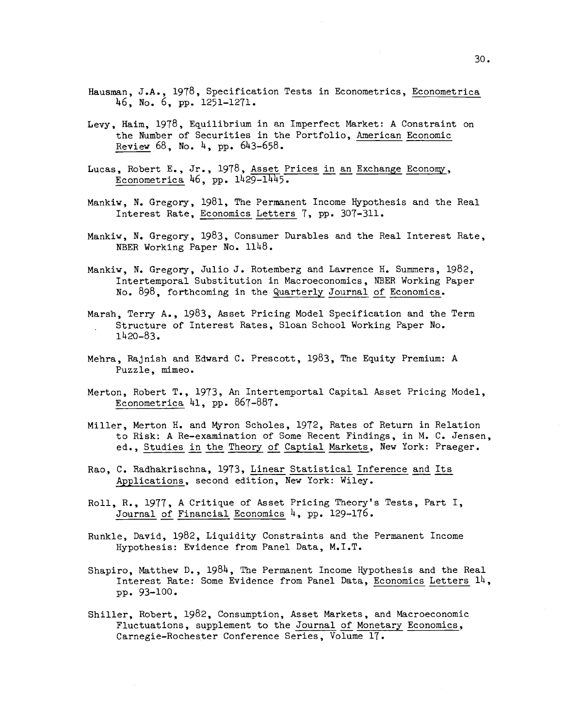- Hausman, J.A., 1978, Specification Tests in Econometrics, Econometrica 46, No. 6, pp. 1251—1271.
- Levy, Haim, 1978, Equilibrium in an Imperfect Market: A Constraint on the Number of Securities in the Portfolio, American Economic Review 68, No. 4, pp. 643—658.
- Lucas, Robert E., Jr., 1978, Asset Prices in an Exchange Economy, Econometrica 46, pp. 1429—1445.
- Mankiw, N. Gregory, 1981, The Permanent Income Hypothesis and the Real Interest Rate, Economics Letters 7, pp. 307—311.
- Mankiw, N. Gregory, 1983, Consumer Durables and the Real Interest Rate, NBER Working Paper No. 1148.
- Mankiw, N. Gregory, Julio J. Rotemberg and Lawrence H. Summers, 1982, Intertemporal Substitution in Macroeconomics, NBER Working Paper No. 898, forthcoming in the Quarterly Journal of Economics.
- Marsh, Terry A., 1983, Asset Pricing Model Specification and the Term Structure of Interest Rates, Sloan School Working Paper No. 1420—83.
- Mehra, Rajnish and Edward C. Prescott, 1983, The Equity Premium: A Puzzle, mimeo.
- Merton, Robert T., 1973, An Intertemportal Capital Asset Pricing Model, Econometrica 41, pp. 867—887.
- Miller, Merton H. and Myron Scholes, 1972, Rates of Return in Relation to Risk: A Re—examination of Some Recent Findings, in M. C. Jensen, ed., Studies in the Theory of Captial Markets, New York: Praeger.
- Rao, C. Radhakrischna, 1973, Linear Statistical Inference and Its Applications, second edition, New York: Wiley.
- Roll, R., 1977, A Critique of Asset Pricing Theory's Tests, Part I, Journal of Financial Economics 4, pp. 129—176.
- Runkle, David, 1982, Liquidity Constraints and the Permanent Income Hypothesis: Evidence from Panel Data, M.I.T.
- Shapiro, Matthew D., 1984, The Permanent Income Hypothesis and the Real Interest Rate: Some Evidence from Panel Data, Economics Letters 14, pp. 93—100.
- Shiller, Robert, 1982, Consumption, Asset Markets, and Macroeconomic Fluctuations, supplement to the Journal of Monetary Economics, Carnegie—Rochester Conference Series, Volume 17.